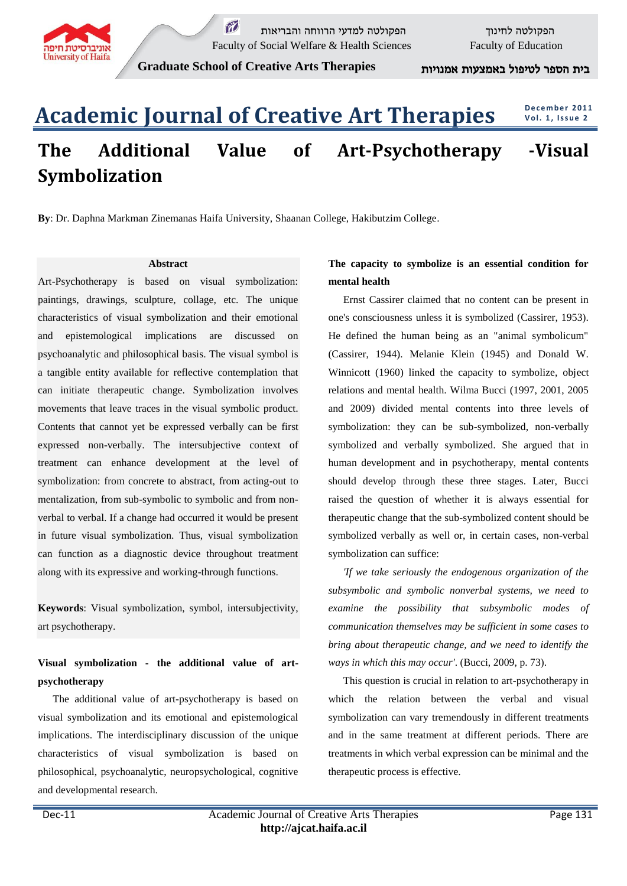

 $\widetilde{M}$ הפקולטה לחינוך הפקולטה למדעי הרווחה והבריאות  $\widetilde{M}$ Faculty of Social Welfare & Health Sciences Faculty of Education

**Graduate School of Creative Arts Therapies** אמנויות באמצעות לטיפול הספר בית

# **Academic Journal of Creative Art Therapies The Additional Value of Art-Psychotherapy -Visual Symbolization D e c e m b e r 2011 V o l. 1 , I s s u e 2**

**By**: Dr. Daphna Markman Zinemanas Haifa University, Shaanan College, Hakibutzim College.

### **Abstract**

Art-Psychotherapy is based on visual symbolization: paintings, drawings, sculpture, collage, etc. The unique characteristics of visual symbolization and their emotional and epistemological implications are discussed on psychoanalytic and philosophical basis. The visual symbol is a tangible entity available for reflective contemplation that can initiate therapeutic change. Symbolization involves movements that leave traces in the visual symbolic product. Contents that cannot yet be expressed verbally can be first expressed non-verbally. The intersubjective context of treatment can enhance development at the level of symbolization: from concrete to abstract, from acting-out to mentalization, from sub-symbolic to symbolic and from nonverbal to verbal. If a change had occurred it would be present in future visual symbolization. Thus, visual symbolization can function as a diagnostic device throughout treatment along with its expressive and working-through functions.

**Keywords**: Visual symbolization, symbol, intersubjectivity, art psychotherapy.

# **Visual symbolization - the additional value of artpsychotherapy**

The additional value of art-psychotherapy is based on visual symbolization and its emotional and epistemological implications. The interdisciplinary discussion of the unique characteristics of visual symbolization is based on philosophical, psychoanalytic, neuropsychological, cognitive and developmental research.

## **The capacity to symbolize is an essential condition for mental health**

Ernst Cassirer claimed that no content can be present in one's consciousness unless it is symbolized (Cassirer, 1953). He defined the human being as an "animal symbolicum" (Cassirer, 1944). Melanie Klein (1945) and Donald W. Winnicott (1960) linked the capacity to symbolize, object relations and mental health. Wilma Bucci (1997, 2001, 2005 and 2009) divided mental contents into three levels of symbolization: they can be sub-symbolized, non-verbally symbolized and verbally symbolized. She argued that in human development and in psychotherapy, mental contents should develop through these three stages. Later, Bucci raised the question of whether it is always essential for therapeutic change that the sub-symbolized content should be symbolized verbally as well or, in certain cases, non-verbal symbolization can suffice:

*'If we take seriously the endogenous organization of the subsymbolic and symbolic nonverbal systems, we need to examine the possibility that subsymbolic modes of communication themselves may be sufficient in some cases to bring about therapeutic change, and we need to identify the ways in which this may occur'*. (Bucci, 2009, p. 73).

This question is crucial in relation to art-psychotherapy in which the relation between the verbal and visual symbolization can vary tremendously in different treatments and in the same treatment at different periods. There are treatments in which verbal expression can be minimal and the therapeutic process is effective.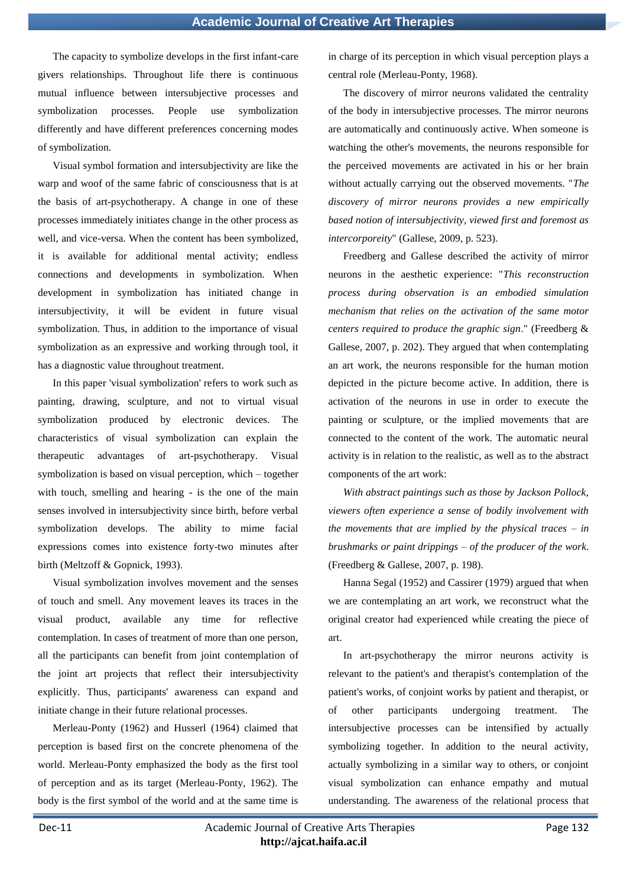The capacity to symbolize develops in the first infant-care givers relationships. Throughout life there is continuous mutual influence between intersubjective processes and symbolization processes. People use symbolization differently and have different preferences concerning modes of symbolization.

Visual symbol formation and intersubjectivity are like the warp and woof of the same fabric of consciousness that is at the basis of art-psychotherapy. A change in one of these processes immediately initiates change in the other process as well, and vice-versa. When the content has been symbolized, it is available for additional mental activity; endless connections and developments in symbolization. When development in symbolization has initiated change in intersubjectivity, it will be evident in future visual symbolization. Thus, in addition to the importance of visual symbolization as an expressive and working through tool, it has a diagnostic value throughout treatment.

In this paper 'visual symbolization' refers to work such as painting, drawing, sculpture, and not to virtual visual symbolization produced by electronic devices. The characteristics of visual symbolization can explain the therapeutic advantages of art-psychotherapy. Visual symbolization is based on visual perception, which – together with touch, smelling and hearing - is the one of the main senses involved in intersubjectivity since birth, before verbal symbolization develops. The ability to mime facial expressions comes into existence forty-two minutes after birth (Meltzoff & Gopnick, 1993).

Visual symbolization involves movement and the senses of touch and smell. Any movement leaves its traces in the visual product, available any time for reflective contemplation. In cases of treatment of more than one person, all the participants can benefit from joint contemplation of the joint art projects that reflect their intersubjectivity explicitly. Thus, participants' awareness can expand and initiate change in their future relational processes.

Merleau-Ponty (1962) and Husserl (1964) claimed that perception is based first on the concrete phenomena of the world. Merleau-Ponty emphasized the body as the first tool of perception and as its target (Merleau-Ponty, 1962). The body is the first symbol of the world and at the same time is in charge of its perception in which visual perception plays a central role (Merleau-Ponty, 1968).

The discovery of mirror neurons validated the centrality of the body in intersubjective processes. The mirror neurons are automatically and continuously active. When someone is watching the other's movements, the neurons responsible for the perceived movements are activated in his or her brain without actually carrying out the observed movements. "*The discovery of mirror neurons provides a new empirically based notion of intersubjectivity, viewed first and foremost as intercorporeity*" (Gallese, 2009, p. 523).

Freedberg and Gallese described the activity of mirror neurons in the aesthetic experience: "*This reconstruction process during observation is an embodied simulation mechanism that relies on the activation of the same motor centers required to produce the graphic sign*." (Freedberg & Gallese, 2007, p. 202). They argued that when contemplating an art work, the neurons responsible for the human motion depicted in the picture become active. In addition, there is activation of the neurons in use in order to execute the painting or sculpture, or the implied movements that are connected to the content of the work. The automatic neural activity is in relation to the realistic, as well as to the abstract components of the art work:

*With abstract paintings such as those by Jackson Pollock, viewers often experience a sense of bodily involvement with the movements that are implied by the physical traces – in brushmarks or paint drippings – of the producer of the work*. (Freedberg & Gallese, 2007, p. 198).

Hanna Segal (1952) and Cassirer (1979) argued that when we are contemplating an art work, we reconstruct what the original creator had experienced while creating the piece of art.

In art-psychotherapy the mirror neurons activity is relevant to the patient's and therapist's contemplation of the patient's works, of conjoint works by patient and therapist, or of other participants undergoing treatment. The intersubjective processes can be intensified by actually symbolizing together. In addition to the neural activity, actually symbolizing in a similar way to others, or conjoint visual symbolization can enhance empathy and mutual understanding. The awareness of the relational process that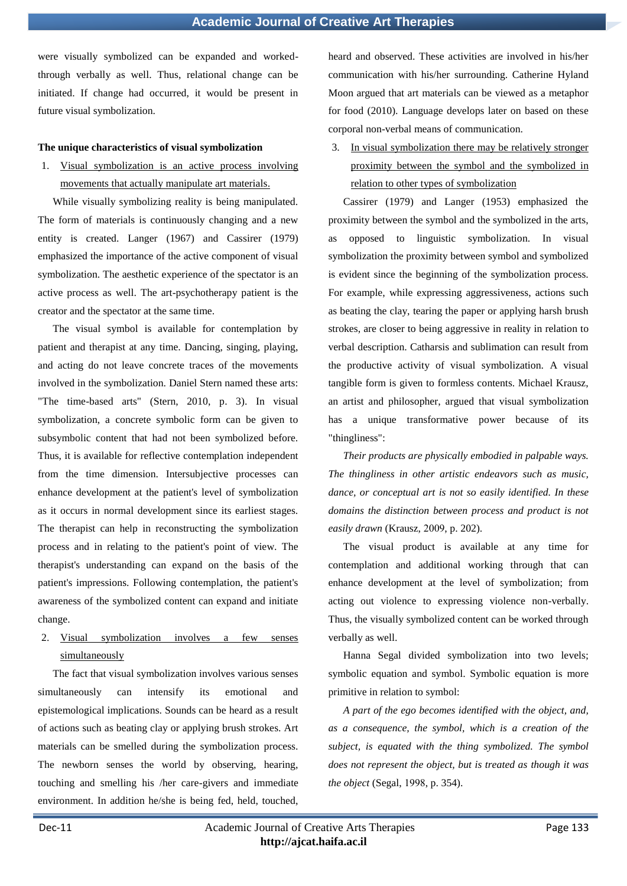were visually symbolized can be expanded and workedthrough verbally as well. Thus, relational change can be initiated. If change had occurred, it would be present in future visual symbolization.

#### **The unique characteristics of visual symbolization**

1. Visual symbolization is an active process involving movements that actually manipulate art materials.

While visually symbolizing reality is being manipulated. The form of materials is continuously changing and a new entity is created. Langer (1967) and Cassirer (1979) emphasized the importance of the active component of visual symbolization. The aesthetic experience of the spectator is an active process as well. The art-psychotherapy patient is the creator and the spectator at the same time.

The visual symbol is available for contemplation by patient and therapist at any time. Dancing, singing, playing, and acting do not leave concrete traces of the movements involved in the symbolization. Daniel Stern named these arts: "The time-based arts" (Stern, 2010, p. 3). In visual symbolization, a concrete symbolic form can be given to subsymbolic content that had not been symbolized before. Thus, it is available for reflective contemplation independent from the time dimension. Intersubjective processes can enhance development at the patient's level of symbolization as it occurs in normal development since its earliest stages. The therapist can help in reconstructing the symbolization process and in relating to the patient's point of view. The therapist's understanding can expand on the basis of the patient's impressions. Following contemplation, the patient's awareness of the symbolized content can expand and initiate change.

2. Visual symbolization involves simultaneously

The fact that visual symbolization involves various senses simultaneously can intensify its emotional and epistemological implications. Sounds can be heard as a result of actions such as beating clay or applying brush strokes. Art materials can be smelled during the symbolization process. The newborn senses the world by observing, hearing, touching and smelling his /her care-givers and immediate environment. In addition he/she is being fed, held, touched, heard and observed. These activities are involved in his/her communication with his/her surrounding. Catherine Hyland Moon argued that art materials can be viewed as a metaphor for food (2010). Language develops later on based on these corporal non-verbal means of communication.

In visual symbolization there may be relatively stronger proximity between the symbol and the symbolized in relation to other types of symbolization

Cassirer (1979) and Langer (1953) emphasized the proximity between the symbol and the symbolized in the arts, as opposed to linguistic symbolization. In visual symbolization the proximity between symbol and symbolized is evident since the beginning of the symbolization process. For example, while expressing aggressiveness, actions such as beating the clay, tearing the paper or applying harsh brush strokes, are closer to being aggressive in reality in relation to verbal description. Catharsis and sublimation can result from the productive activity of visual symbolization. A visual tangible form is given to formless contents. Michael Krausz, an artist and philosopher, argued that visual symbolization has a unique transformative power because of its "thingliness":

*Their products are physically embodied in palpable ways. The thingliness in other artistic endeavors such as music, dance, or conceptual art is not so easily identified. In these domains the distinction between process and product is not easily drawn* (Krausz, 2009, p. 202).

The visual product is available at any time for contemplation and additional working through that can enhance development at the level of symbolization; from acting out violence to expressing violence non-verbally. Thus, the visually symbolized content can be worked through verbally as well.

Hanna Segal divided symbolization into two levels; symbolic equation and symbol. Symbolic equation is more primitive in relation to symbol:

*A part of the ego becomes identified with the object, and, as a consequence, the symbol, which is a creation of the subject, is equated with the thing symbolized. The symbol does not represent the object, but is treated as though it was the object* (Segal, 1998, p. 354).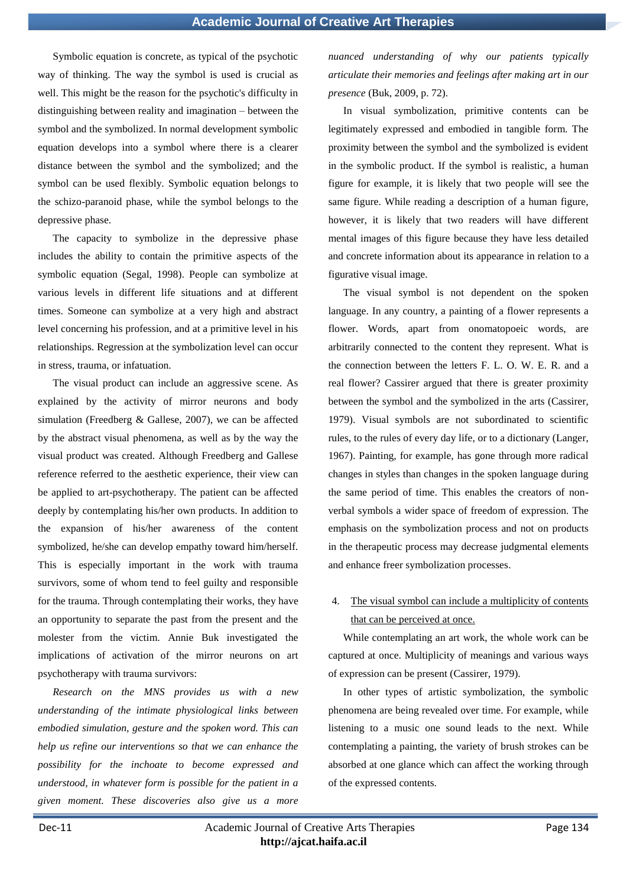Symbolic equation is concrete, as typical of the psychotic way of thinking. The way the symbol is used is crucial as well. This might be the reason for the psychotic's difficulty in distinguishing between reality and imagination – between the symbol and the symbolized. In normal development symbolic equation develops into a symbol where there is a clearer distance between the symbol and the symbolized; and the symbol can be used flexibly. Symbolic equation belongs to the schizo-paranoid phase, while the symbol belongs to the depressive phase.

The capacity to symbolize in the depressive phase includes the ability to contain the primitive aspects of the symbolic equation (Segal, 1998). People can symbolize at various levels in different life situations and at different times. Someone can symbolize at a very high and abstract level concerning his profession, and at a primitive level in his relationships. Regression at the symbolization level can occur in stress, trauma, or infatuation.

The visual product can include an aggressive scene. As explained by the activity of mirror neurons and body simulation (Freedberg & Gallese, 2007), we can be affected by the abstract visual phenomena, as well as by the way the visual product was created. Although Freedberg and Gallese reference referred to the aesthetic experience, their view can be applied to art-psychotherapy. The patient can be affected deeply by contemplating his/her own products. In addition to the expansion of his/her awareness of the content symbolized, he/she can develop empathy toward him/herself. This is especially important in the work with trauma survivors, some of whom tend to feel guilty and responsible for the trauma. Through contemplating their works, they have an opportunity to separate the past from the present and the molester from the victim. Annie Buk investigated the implications of activation of the mirror neurons on art psychotherapy with trauma survivors:

*Research on the MNS provides us with a new understanding of the intimate physiological links between embodied simulation, gesture and the spoken word. This can help us refine our interventions so that we can enhance the possibility for the inchoate to become expressed and understood, in whatever form is possible for the patient in a given moment. These discoveries also give us a more* 

*nuanced understanding of why our patients typically articulate their memories and feelings after making art in our presence* (Buk, 2009, p. 72).

In visual symbolization, primitive contents can be legitimately expressed and embodied in tangible form. The proximity between the symbol and the symbolized is evident in the symbolic product. If the symbol is realistic, a human figure for example, it is likely that two people will see the same figure. While reading a description of a human figure, however, it is likely that two readers will have different mental images of this figure because they have less detailed and concrete information about its appearance in relation to a figurative visual image.

The visual symbol is not dependent on the spoken language. In any country, a painting of a flower represents a flower. Words, apart from onomatopoeic words, are arbitrarily connected to the content they represent. What is the connection between the letters F. L. O. W. E. R. and a real flower? Cassirer argued that there is greater proximity between the symbol and the symbolized in the arts (Cassirer, 1979). Visual symbols are not subordinated to scientific rules, to the rules of every day life, or to a dictionary (Langer, 1967). Painting, for example, has gone through more radical changes in styles than changes in the spoken language during the same period of time. This enables the creators of nonverbal symbols a wider space of freedom of expression. The emphasis on the symbolization process and not on products in the therapeutic process may decrease judgmental elements and enhance freer symbolization processes.

# 4. The visual symbol can include a multiplicity of contents that can be perceived at once.

While contemplating an art work, the whole work can be captured at once. Multiplicity of meanings and various ways of expression can be present (Cassirer, 1979).

In other types of artistic symbolization, the symbolic phenomena are being revealed over time. For example, while listening to a music one sound leads to the next. While contemplating a painting, the variety of brush strokes can be absorbed at one glance which can affect the working through of the expressed contents.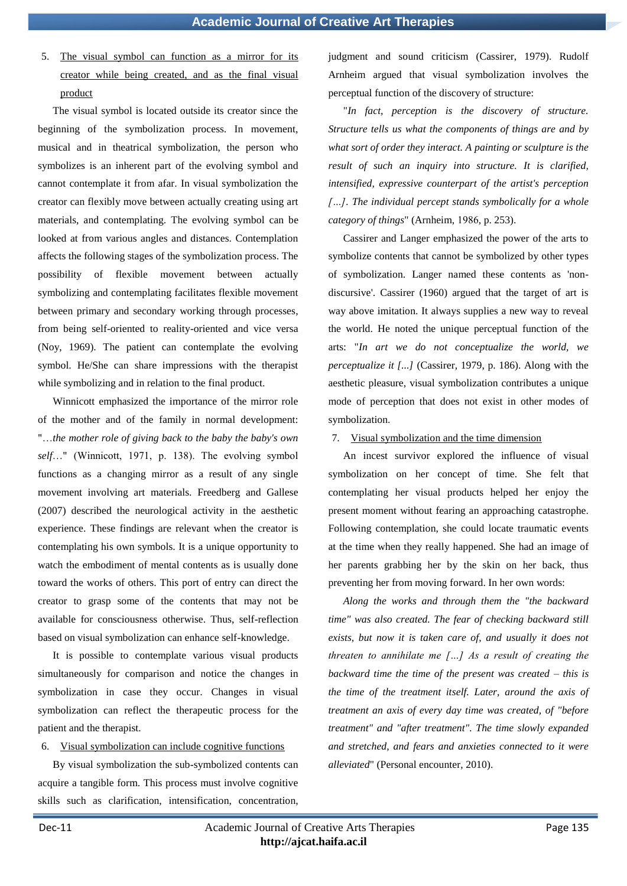5. The visual symbol can function as a mirror for its creator while being created, and as the final visual product

The visual symbol is located outside its creator since the beginning of the symbolization process. In movement, musical and in theatrical symbolization, the person who symbolizes is an inherent part of the evolving symbol and cannot contemplate it from afar. In visual symbolization the creator can flexibly move between actually creating using art materials, and contemplating. The evolving symbol can be looked at from various angles and distances. Contemplation affects the following stages of the symbolization process. The possibility of flexible movement between actually symbolizing and contemplating facilitates flexible movement between primary and secondary working through processes, from being self-oriented to reality-oriented and vice versa (Noy, 1969). The patient can contemplate the evolving symbol. He/She can share impressions with the therapist while symbolizing and in relation to the final product.

Winnicott emphasized the importance of the mirror role of the mother and of the family in normal development: "…*the mother role of giving back to the baby the baby's own self*…" (Winnicott, 1971, p. 138). The evolving symbol functions as a changing mirror as a result of any single movement involving art materials. Freedberg and Gallese (2007) described the neurological activity in the aesthetic experience. These findings are relevant when the creator is contemplating his own symbols. It is a unique opportunity to watch the embodiment of mental contents as is usually done toward the works of others. This port of entry can direct the creator to grasp some of the contents that may not be available for consciousness otherwise. Thus, self-reflection based on visual symbolization can enhance self-knowledge.

It is possible to contemplate various visual products simultaneously for comparison and notice the changes in symbolization in case they occur. Changes in visual symbolization can reflect the therapeutic process for the patient and the therapist.

### 6. Visual symbolization can include cognitive functions

By visual symbolization the sub-symbolized contents can acquire a tangible form. This process must involve cognitive skills such as clarification, intensification, concentration, judgment and sound criticism (Cassirer, 1979). Rudolf Arnheim argued that visual symbolization involves the perceptual function of the discovery of structure:

"*In fact, perception is the discovery of structure. Structure tells us what the components of things are and by what sort of order they interact. A painting or sculpture is the result of such an inquiry into structure. It is clarified, intensified, expressive counterpart of the artist's perception […]. The individual percept stands symbolically for a whole category of things*" (Arnheim, 1986, p. 253).

Cassirer and Langer emphasized the power of the arts to symbolize contents that cannot be symbolized by other types of symbolization. Langer named these contents as 'nondiscursive'. Cassirer (1960) argued that the target of art is way above imitation. It always supplies a new way to reveal the world. He noted the unique perceptual function of the arts: "*In art we do not conceptualize the world, we perceptualize it [...]* (Cassirer, 1979, p. 186). Along with the aesthetic pleasure, visual symbolization contributes a unique mode of perception that does not exist in other modes of symbolization.

### 7. Visual symbolization and the time dimension

An incest survivor explored the influence of visual symbolization on her concept of time. She felt that contemplating her visual products helped her enjoy the present moment without fearing an approaching catastrophe. Following contemplation, she could locate traumatic events at the time when they really happened. She had an image of her parents grabbing her by the skin on her back, thus preventing her from moving forward. In her own words:

*Along the works and through them the "the backward time" was also created. The fear of checking backward still exists, but now it is taken care of, and usually it does not threaten to annihilate me […] As a result of creating the backward time the time of the present was created – this is the time of the treatment itself. Later, around the axis of treatment an axis of every day time was created, of "before treatment" and "after treatment". The time slowly expanded and stretched, and fears and anxieties connected to it were alleviated*" (Personal encounter, 2010).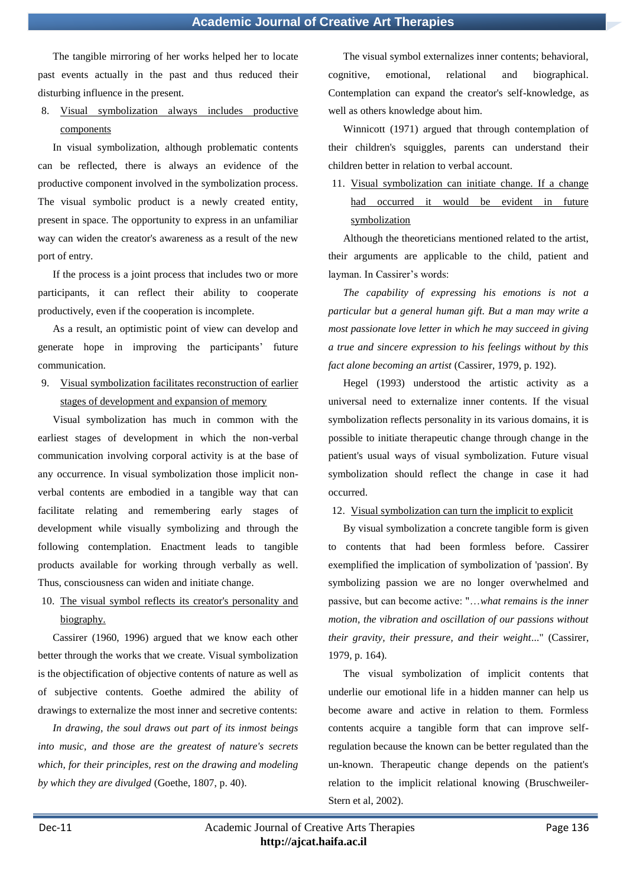The tangible mirroring of her works helped her to locate past events actually in the past and thus reduced their disturbing influence in the present.

# 8. Visual symbolization always includes productive components

In visual symbolization, although problematic contents can be reflected, there is always an evidence of the productive component involved in the symbolization process. The visual symbolic product is a newly created entity, present in space. The opportunity to express in an unfamiliar way can widen the creator's awareness as a result of the new port of entry.

If the process is a joint process that includes two or more participants, it can reflect their ability to cooperate productively, even if the cooperation is incomplete.

As a result, an optimistic point of view can develop and generate hope in improving the participants' future communication.

9. Visual symbolization facilitates reconstruction of earlier stages of development and expansion of memory

Visual symbolization has much in common with the earliest stages of development in which the non-verbal communication involving corporal activity is at the base of any occurrence. In visual symbolization those implicit nonverbal contents are embodied in a tangible way that can facilitate relating and remembering early stages of development while visually symbolizing and through the following contemplation. Enactment leads to tangible products available for working through verbally as well. Thus, consciousness can widen and initiate change.

10. The visual symbol reflects its creator's personality and biography.

Cassirer (1960, 1996) argued that we know each other better through the works that we create. Visual symbolization is the objectification of objective contents of nature as well as of subjective contents. Goethe admired the ability of drawings to externalize the most inner and secretive contents:

*In drawing, the soul draws out part of its inmost beings into music, and those are the greatest of nature's secrets which, for their principles, rest on the drawing and modeling by which they are divulged* (Goethe, 1807, p. 40).

The visual symbol externalizes inner contents; behavioral, cognitive, emotional, relational and biographical. Contemplation can expand the creator's self-knowledge, as well as others knowledge about him.

Winnicott (1971) argued that through contemplation of their children's squiggles, parents can understand their children better in relation to verbal account.

11. Visual symbolization can initiate change. If a change had occurred it would be evident in future symbolization

Although the theoreticians mentioned related to the artist, their arguments are applicable to the child, patient and layman. In Cassirer's words:

*The capability of expressing his emotions is not a particular but a general human gift. But a man may write a most passionate love letter in which he may succeed in giving a true and sincere expression to his feelings without by this fact alone becoming an artist* (Cassirer, 1979, p. 192).

Hegel (1993) understood the artistic activity as a universal need to externalize inner contents. If the visual symbolization reflects personality in its various domains, it is possible to initiate therapeutic change through change in the patient's usual ways of visual symbolization. Future visual symbolization should reflect the change in case it had occurred.

12. Visual symbolization can turn the implicit to explicit

By visual symbolization a concrete tangible form is given to contents that had been formless before. Cassirer exemplified the implication of symbolization of 'passion'. By symbolizing passion we are no longer overwhelmed and passive, but can become active: "…*what remains is the inner motion, the vibration and oscillation of our passions without their gravity, their pressure, and their weight*..." (Cassirer, 1979, p. 164).

The visual symbolization of implicit contents that underlie our emotional life in a hidden manner can help us become aware and active in relation to them. Formless contents acquire a tangible form that can improve selfregulation because the known can be better regulated than the un-known. Therapeutic change depends on the patient's relation to the implicit relational knowing (Bruschweiler-Stern et al, 2002).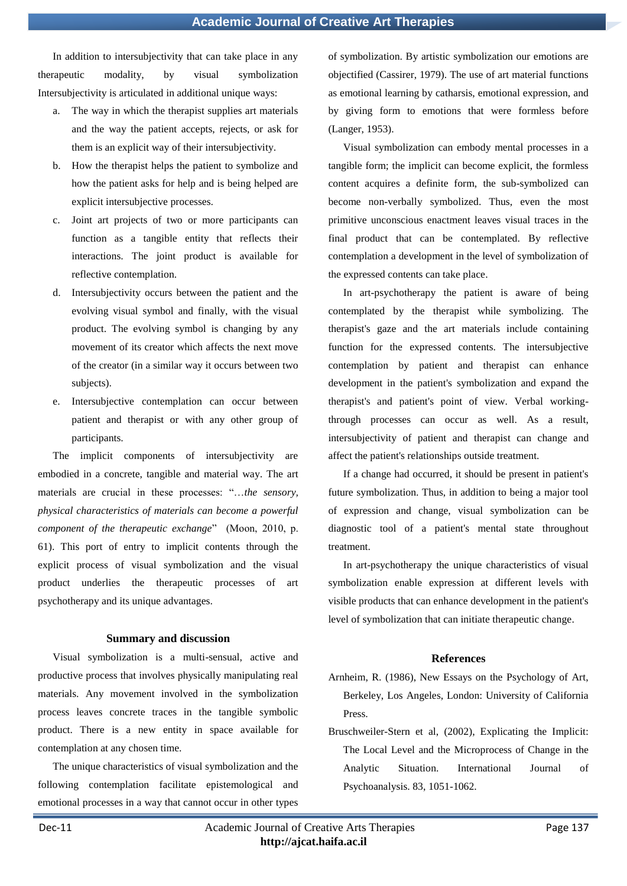In addition to intersubjectivity that can take place in any therapeutic modality, by visual symbolization Intersubjectivity is articulated in additional unique ways:

- a. The way in which the therapist supplies art materials and the way the patient accepts, rejects, or ask for them is an explicit way of their intersubjectivity.
- b. How the therapist helps the patient to symbolize and how the patient asks for help and is being helped are explicit intersubjective processes.
- c. Joint art projects of two or more participants can function as a tangible entity that reflects their interactions. The joint product is available for reflective contemplation.
- d. Intersubjectivity occurs between the patient and the evolving visual symbol and finally, with the visual product. The evolving symbol is changing by any movement of its creator which affects the next move of the creator (in a similar way it occurs between two subjects).
- e. Intersubjective contemplation can occur between patient and therapist or with any other group of participants.

The implicit components of intersubjectivity are embodied in a concrete, tangible and material way. The art materials are crucial in these processes: "…*the sensory, physical characteristics of materials can become a powerful component of the therapeutic exchange*" (Moon, 2010, p. 61). This port of entry to implicit contents through the explicit process of visual symbolization and the visual product underlies the therapeutic processes of art psychotherapy and its unique advantages.

#### **Summary and discussion**

Visual symbolization is a multi-sensual, active and productive process that involves physically manipulating real materials. Any movement involved in the symbolization process leaves concrete traces in the tangible symbolic product. There is a new entity in space available for contemplation at any chosen time.

The unique characteristics of visual symbolization and the following contemplation facilitate epistemological and emotional processes in a way that cannot occur in other types of symbolization. By artistic symbolization our emotions are objectified (Cassirer, 1979). The use of art material functions as emotional learning by catharsis, emotional expression, and by giving form to emotions that were formless before (Langer, 1953).

Visual symbolization can embody mental processes in a tangible form; the implicit can become explicit, the formless content acquires a definite form, the sub-symbolized can become non-verbally symbolized. Thus, even the most primitive unconscious enactment leaves visual traces in the final product that can be contemplated. By reflective contemplation a development in the level of symbolization of the expressed contents can take place.

In art-psychotherapy the patient is aware of being contemplated by the therapist while symbolizing. The therapist's gaze and the art materials include containing function for the expressed contents. The intersubjective contemplation by patient and therapist can enhance development in the patient's symbolization and expand the therapist's and patient's point of view. Verbal workingthrough processes can occur as well. As a result, intersubjectivity of patient and therapist can change and affect the patient's relationships outside treatment.

If a change had occurred, it should be present in patient's future symbolization. Thus, in addition to being a major tool of expression and change, visual symbolization can be diagnostic tool of a patient's mental state throughout treatment.

In art-psychotherapy the unique characteristics of visual symbolization enable expression at different levels with visible products that can enhance development in the patient's level of symbolization that can initiate therapeutic change.

#### **References**

- Arnheim, R. (1986), New Essays on the Psychology of Art, Berkeley, Los Angeles, London: University of California Press.
- Bruschweiler-Stern et al, (2002), Explicating the Implicit: The Local Level and the Microprocess of Change in the Analytic Situation. International Journal of Psychoanalysis. 83, 1051-1062.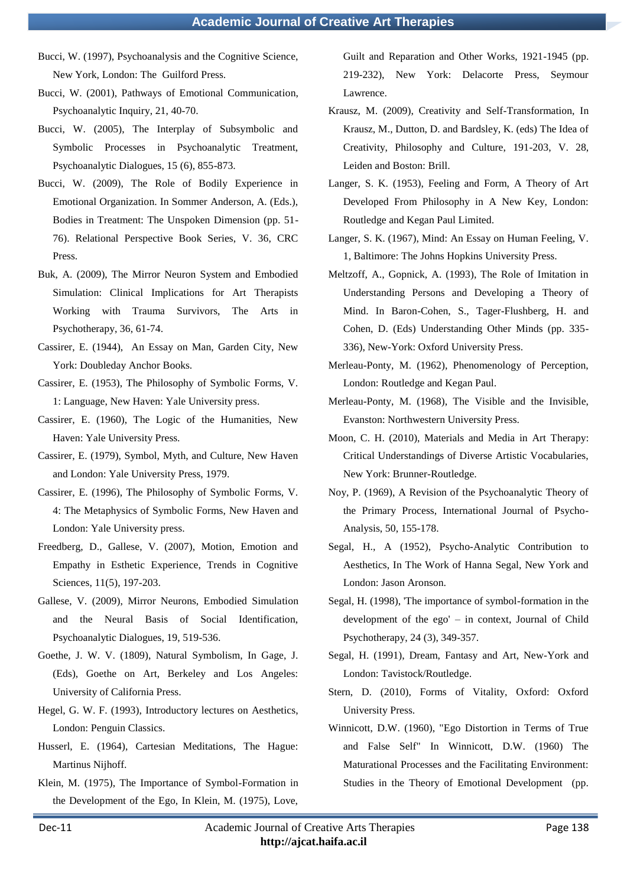- Bucci, W. (1997), Psychoanalysis and the Cognitive Science, New York, London: The Guilford Press.
- Bucci, W. (2001), Pathways of Emotional Communication, Psychoanalytic Inquiry, 21, 40-70.
- Bucci, W. (2005), The Interplay of Subsymbolic and Symbolic Processes in Psychoanalytic Treatment, Psychoanalytic Dialogues, 15 (6), 855-873.
- Bucci, W. (2009), The Role of Bodily Experience in Emotional Organization. In Sommer Anderson, A. (Eds.), Bodies in Treatment: The Unspoken Dimension (pp. 51- 76). Relational Perspective Book Series, V. 36, CRC Press.
- Buk, A. (2009), The Mirror Neuron System and Embodied Simulation: Clinical Implications for Art Therapists Working with Trauma Survivors, The Arts in Psychotherapy, 36, 61-74.
- Cassirer, E. (1944), An Essay on Man, Garden City, New York: Doubleday Anchor Books.
- Cassirer, E. (1953), The Philosophy of Symbolic Forms, V. 1: Language, New Haven: Yale University press.
- Cassirer, E. (1960), The Logic of the Humanities, New Haven: Yale University Press.
- Cassirer, E. (1979), Symbol, Myth, and Culture, New Haven and London: Yale University Press, 1979.
- Cassirer, E. (1996), The Philosophy of Symbolic Forms, V. 4: The Metaphysics of Symbolic Forms, New Haven and London: Yale University press.
- Freedberg, D., Gallese, V. (2007), Motion, Emotion and Empathy in Esthetic Experience, Trends in Cognitive Sciences, 11(5), 197-203.
- Gallese, V. (2009), Mirror Neurons, Embodied Simulation and the Neural Basis of Social Identification, Psychoanalytic Dialogues, 19, 519-536.
- Goethe, J. W. V. (1809), Natural Symbolism, In Gage, J. (Eds), Goethe on Art, Berkeley and Los Angeles: University of California Press.
- Hegel, G. W. F. (1993), Introductory lectures on Aesthetics, London: Penguin Classics.
- Husserl, E. (1964), Cartesian Meditations, The Hague: Martinus Nijhoff.
- Klein, M. (1975), The Importance of Symbol-Formation in the Development of the Ego, In Klein, M. (1975), Love,

Guilt and Reparation and Other Works, 1921-1945 (pp. 219-232), New York: Delacorte Press, Seymour Lawrence.

- Krausz, M. (2009), Creativity and Self-Transformation, In Krausz, M., Dutton, D. and Bardsley, K. (eds) The Idea of Creativity, Philosophy and Culture, 191-203, V. 28, Leiden and Boston: Brill.
- Langer, S. K. (1953), Feeling and Form, A Theory of Art Developed From Philosophy in A New Key, London: Routledge and Kegan Paul Limited.
- Langer, S. K. (1967), Mind: An Essay on Human Feeling, V. 1, Baltimore: The Johns Hopkins University Press.
- Meltzoff, A., Gopnick, A. (1993), The Role of Imitation in Understanding Persons and Developing a Theory of Mind. In Baron-Cohen, S., Tager-Flushberg, H. and Cohen, D. (Eds) Understanding Other Minds (pp. 335- 336), New-York: Oxford University Press.
- Merleau-Ponty, M. (1962), Phenomenology of Perception, London: Routledge and Kegan Paul.
- Merleau-Ponty, M. (1968), The Visible and the Invisible, Evanston: Northwestern University Press.
- Moon, C. H. (2010), Materials and Media in Art Therapy: Critical Understandings of Diverse Artistic Vocabularies, New York: Brunner-Routledge.
- Noy, P. (1969), A Revision of the Psychoanalytic Theory of the Primary Process, International Journal of Psycho-Analysis, 50, 155-178.
- Segal, H., A (1952), Psycho-Analytic Contribution to Aesthetics, In The Work of Hanna Segal, New York and London: Jason Aronson.
- Segal, H. (1998), 'The importance of symbol-formation in the development of the ego' – in context, Journal of Child Psychotherapy, 24 (3), 349-357.
- Segal, H. (1991), Dream, Fantasy and Art, New-York and London: Tavistock/Routledge.
- Stern, D. (2010), Forms of Vitality, Oxford: Oxford University Press.
- Winnicott, D.W. (1960), "Ego Distortion in Terms of True and False Self" In Winnicott, D.W. (1960) The Maturational Processes and the Facilitating Environment: Studies in the Theory of Emotional Development (pp.